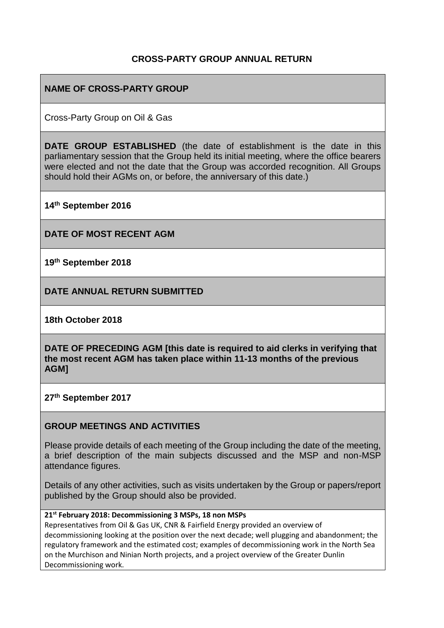### **CROSS-PARTY GROUP ANNUAL RETURN**

## **NAME OF CROSS-PARTY GROUP**

Cross-Party Group on Oil & Gas

**DATE GROUP ESTABLISHED** (the date of establishment is the date in this parliamentary session that the Group held its initial meeting, where the office bearers were elected and not the date that the Group was accorded recognition. All Groups should hold their AGMs on, or before, the anniversary of this date.)

**14th September 2016**

**DATE OF MOST RECENT AGM**

**19th September 2018**

**DATE ANNUAL RETURN SUBMITTED**

**18th October 2018**

**DATE OF PRECEDING AGM [this date is required to aid clerks in verifying that the most recent AGM has taken place within 11-13 months of the previous AGM]**

**27th September 2017**

### **GROUP MEETINGS AND ACTIVITIES**

Please provide details of each meeting of the Group including the date of the meeting, a brief description of the main subjects discussed and the MSP and non-MSP attendance figures.

Details of any other activities, such as visits undertaken by the Group or papers/report published by the Group should also be provided.

### **21st February 2018: Decommissioning 3 MSPs, 18 non MSPs**

Representatives from Oil & Gas UK, CNR & Fairfield Energy provided an overview of decommissioning looking at the position over the next decade; well plugging and abandonment; the regulatory framework and the estimated cost; examples of decommissioning work in the North Sea on the Murchison and Ninian North projects, and a project overview of the Greater Dunlin Decommissioning work.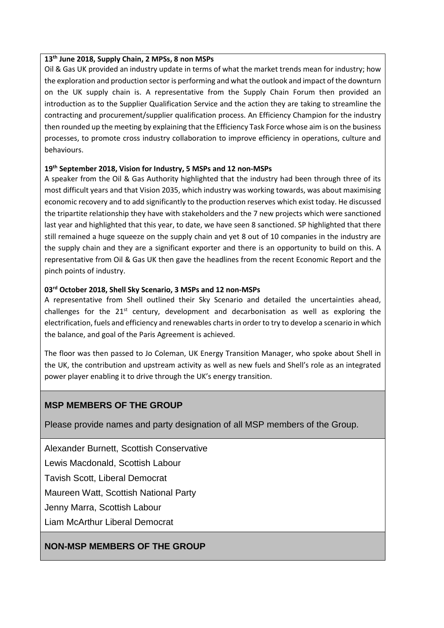#### **13 th June 2018, Supply Chain, 2 MPSs, 8 non MSPs**

Oil & Gas UK provided an industry update in terms of what the market trends mean for industry; how the exploration and production sector is performing and what the outlook and impact of the downturn on the UK supply chain is. A representative from the Supply Chain Forum then provided an introduction as to the Supplier Qualification Service and the action they are taking to streamline the contracting and procurement/supplier qualification process. An Efficiency Champion for the industry then rounded up the meeting by explaining that the Efficiency Task Force whose aim is on the business processes, to promote cross industry collaboration to improve efficiency in operations, culture and behaviours.

### **19th September 2018, Vision for Industry, 5 MSPs and 12 non-MSPs**

A speaker from the Oil & Gas Authority highlighted that the industry had been through three of its most difficult years and that Vision 2035, which industry was working towards, was about maximising economic recovery and to add significantly to the production reserves which exist today. He discussed the tripartite relationship they have with stakeholders and the 7 new projects which were sanctioned last year and highlighted that this year, to date, we have seen 8 sanctioned. SP highlighted that there still remained a huge squeeze on the supply chain and yet 8 out of 10 companies in the industry are the supply chain and they are a significant exporter and there is an opportunity to build on this. A representative from Oil & Gas UK then gave the headlines from the recent Economic Report and the pinch points of industry.

### **03rd October 2018, Shell Sky Scenario, 3 MSPs and 12 non-MSPs**

A representative from Shell outlined their Sky Scenario and detailed the uncertainties ahead, challenges for the  $21^{st}$  century, development and decarbonisation as well as exploring the electrification, fuels and efficiency and renewables charts in order to try to develop a scenario in which the balance, and goal of the Paris Agreement is achieved.

The floor was then passed to Jo Coleman, UK Energy Transition Manager, who spoke about Shell in the UK, the contribution and upstream activity as well as new fuels and Shell's role as an integrated power player enabling it to drive through the UK's energy transition.

### **MSP MEMBERS OF THE GROUP**

Please provide names and party designation of all MSP members of the Group.

Alexander Burnett, Scottish Conservative

Lewis Macdonald, Scottish Labour

Tavish Scott, Liberal Democrat

Maureen Watt, Scottish National Party

Jenny Marra, Scottish Labour

Liam McArthur Liberal Democrat

### **NON-MSP MEMBERS OF THE GROUP**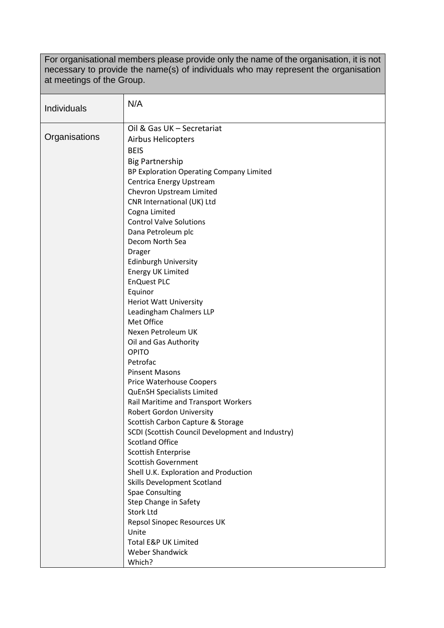For organisational members please provide only the name of the organisation, it is not necessary to provide the name(s) of individuals who may represent the organisation at meetings of the Group.

| <b>Individuals</b> | N/A                                                       |
|--------------------|-----------------------------------------------------------|
| Organisations      | Oil & Gas UK - Secretariat                                |
|                    | <b>Airbus Helicopters</b>                                 |
|                    | <b>BEIS</b>                                               |
|                    | <b>Big Partnership</b>                                    |
|                    | BP Exploration Operating Company Limited                  |
|                    | Centrica Energy Upstream                                  |
|                    | Chevron Upstream Limited<br>CNR International (UK) Ltd    |
|                    | Cogna Limited                                             |
|                    | <b>Control Valve Solutions</b>                            |
|                    | Dana Petroleum plc                                        |
|                    | Decom North Sea                                           |
|                    | <b>Drager</b>                                             |
|                    | <b>Edinburgh University</b>                               |
|                    | <b>Energy UK Limited</b>                                  |
|                    | <b>EnQuest PLC</b>                                        |
|                    | Equinor                                                   |
|                    | <b>Heriot Watt University</b>                             |
|                    | Leadingham Chalmers LLP                                   |
|                    | Met Office                                                |
|                    | Nexen Petroleum UK                                        |
|                    | Oil and Gas Authority                                     |
|                    | <b>OPITO</b>                                              |
|                    | Petrofac                                                  |
|                    | <b>Pinsent Masons</b><br>Price Waterhouse Coopers         |
|                    | <b>QuEnSH Specialists Limited</b>                         |
|                    | Rail Maritime and Transport Workers                       |
|                    | <b>Robert Gordon University</b>                           |
|                    | Scottish Carbon Capture & Storage                         |
|                    | SCDI (Scottish Council Development and Industry)          |
|                    | <b>Scotland Office</b>                                    |
|                    | <b>Scottish Enterprise</b>                                |
|                    | <b>Scottish Government</b>                                |
|                    | Shell U.K. Exploration and Production                     |
|                    | <b>Skills Development Scotland</b>                        |
|                    | <b>Spae Consulting</b>                                    |
|                    | Step Change in Safety                                     |
|                    | <b>Stork Ltd</b>                                          |
|                    | Repsol Sinopec Resources UK                               |
|                    | Unite                                                     |
|                    | <b>Total E&amp;P UK Limited</b><br><b>Weber Shandwick</b> |
|                    | Which?                                                    |
|                    |                                                           |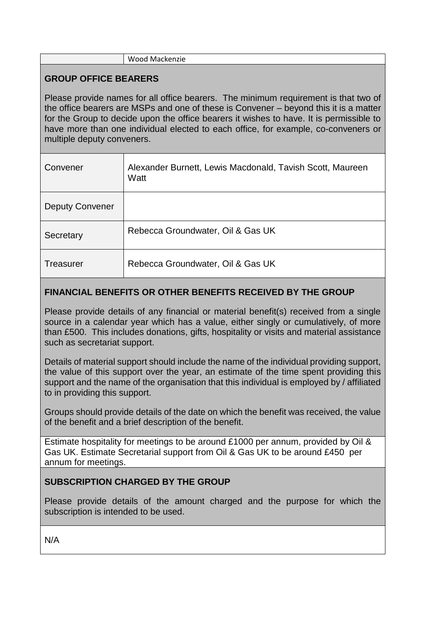#### Wood Mackenzie

## **GROUP OFFICE BEARERS**

Please provide names for all office bearers. The minimum requirement is that two of the office bearers are MSPs and one of these is Convener – beyond this it is a matter for the Group to decide upon the office bearers it wishes to have. It is permissible to have more than one individual elected to each office, for example, co-conveners or multiple deputy conveners.

| Convener               | Alexander Burnett, Lewis Macdonald, Tavish Scott, Maureen<br>Watt |
|------------------------|-------------------------------------------------------------------|
| <b>Deputy Convener</b> |                                                                   |
| Secretary              | Rebecca Groundwater, Oil & Gas UK                                 |
| Treasurer              | Rebecca Groundwater, Oil & Gas UK                                 |

## **FINANCIAL BENEFITS OR OTHER BENEFITS RECEIVED BY THE GROUP**

Please provide details of any financial or material benefit(s) received from a single source in a calendar year which has a value, either singly or cumulatively, of more than £500. This includes donations, gifts, hospitality or visits and material assistance such as secretariat support.

Details of material support should include the name of the individual providing support, the value of this support over the year, an estimate of the time spent providing this support and the name of the organisation that this individual is employed by / affiliated to in providing this support.

Groups should provide details of the date on which the benefit was received, the value of the benefit and a brief description of the benefit.

Estimate hospitality for meetings to be around £1000 per annum, provided by Oil & Gas UK. Estimate Secretarial support from Oil & Gas UK to be around £450 per annum for meetings.

# **SUBSCRIPTION CHARGED BY THE GROUP**

Please provide details of the amount charged and the purpose for which the subscription is intended to be used.

N/A